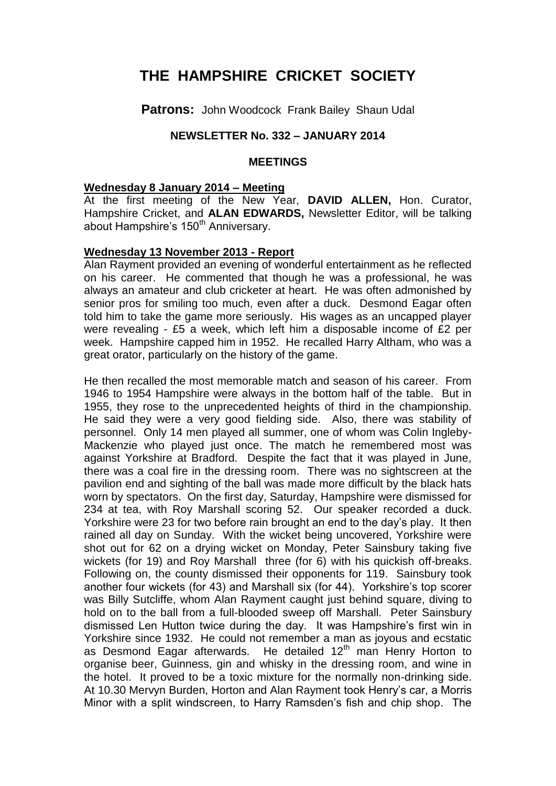# **THE HAMPSHIRE CRICKET SOCIETY**

**Patrons:** John Woodcock Frank Bailey Shaun Udal

# **NEWSLETTER No. 332 – JANUARY 2014**

#### **MEETINGS**

#### **Wednesday 8 January 2014 – Meeting**

At the first meeting of the New Year, **DAVID ALLEN,** Hon. Curator, Hampshire Cricket, and **ALAN EDWARDS,** Newsletter Editor, will be talking about Hampshire's 150<sup>th</sup> Anniversary.

#### **Wednesday 13 November 2013 - Report**

Alan Rayment provided an evening of wonderful entertainment as he reflected on his career. He commented that though he was a professional, he was always an amateur and club cricketer at heart. He was often admonished by senior pros for smiling too much, even after a duck. Desmond Eagar often told him to take the game more seriously. His wages as an uncapped player were revealing - £5 a week, which left him a disposable income of £2 per week. Hampshire capped him in 1952. He recalled Harry Altham, who was a great orator, particularly on the history of the game.

He then recalled the most memorable match and season of his career. From 1946 to 1954 Hampshire were always in the bottom half of the table. But in 1955, they rose to the unprecedented heights of third in the championship. He said they were a very good fielding side. Also, there was stability of personnel. Only 14 men played all summer, one of whom was Colin Ingleby-Mackenzie who played just once. The match he remembered most was against Yorkshire at Bradford. Despite the fact that it was played in June, there was a coal fire in the dressing room. There was no sightscreen at the pavilion end and sighting of the ball was made more difficult by the black hats worn by spectators. On the first day, Saturday, Hampshire were dismissed for 234 at tea, with Roy Marshall scoring 52. Our speaker recorded a duck. Yorkshire were 23 for two before rain brought an end to the day's play. It then rained all day on Sunday. With the wicket being uncovered, Yorkshire were shot out for 62 on a drying wicket on Monday, Peter Sainsbury taking five wickets (for 19) and Roy Marshall three (for 6) with his quickish off-breaks. Following on, the county dismissed their opponents for 119. Sainsbury took another four wickets (for 43) and Marshall six (for 44). Yorkshire's top scorer was Billy Sutcliffe, whom Alan Rayment caught just behind square, diving to hold on to the ball from a full-blooded sweep off Marshall. Peter Sainsbury dismissed Len Hutton twice during the day. It was Hampshire's first win in Yorkshire since 1932. He could not remember a man as joyous and ecstatic as Desmond Eagar afterwards. He detailed  $12<sup>th</sup>$  man Henry Horton to organise beer, Guinness, gin and whisky in the dressing room, and wine in the hotel. It proved to be a toxic mixture for the normally non-drinking side. At 10.30 Mervyn Burden, Horton and Alan Rayment took Henry's car, a Morris Minor with a split windscreen, to Harry Ramsden's fish and chip shop. The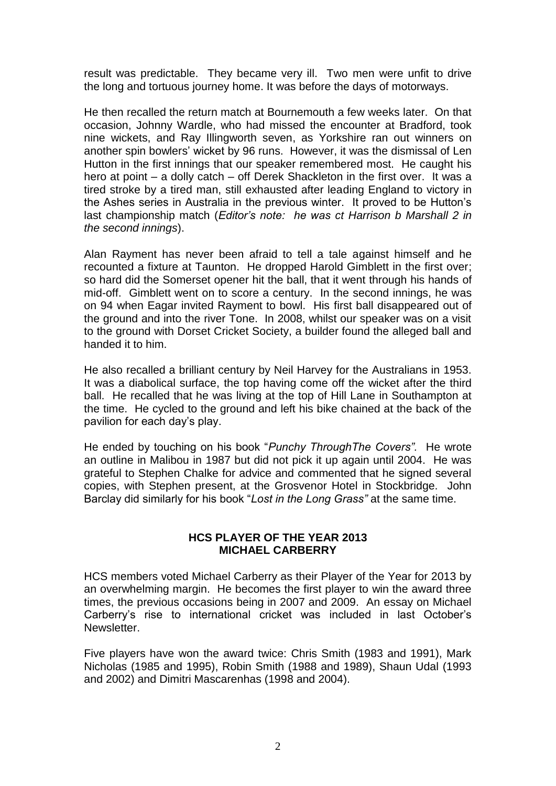result was predictable. They became very ill. Two men were unfit to drive the long and tortuous journey home. It was before the days of motorways.

He then recalled the return match at Bournemouth a few weeks later. On that occasion, Johnny Wardle, who had missed the encounter at Bradford, took nine wickets, and Ray Illingworth seven, as Yorkshire ran out winners on another spin bowlers' wicket by 96 runs. However, it was the dismissal of Len Hutton in the first innings that our speaker remembered most. He caught his hero at point – a dolly catch – off Derek Shackleton in the first over. It was a tired stroke by a tired man, still exhausted after leading England to victory in the Ashes series in Australia in the previous winter. It proved to be Hutton's last championship match (*Editor's note: he was ct Harrison b Marshall 2 in the second innings*).

Alan Rayment has never been afraid to tell a tale against himself and he recounted a fixture at Taunton. He dropped Harold Gimblett in the first over; so hard did the Somerset opener hit the ball, that it went through his hands of mid-off. Gimblett went on to score a century. In the second innings, he was on 94 when Eagar invited Rayment to bowl. His first ball disappeared out of the ground and into the river Tone. In 2008, whilst our speaker was on a visit to the ground with Dorset Cricket Society, a builder found the alleged ball and handed it to him.

He also recalled a brilliant century by Neil Harvey for the Australians in 1953. It was a diabolical surface, the top having come off the wicket after the third ball. He recalled that he was living at the top of Hill Lane in Southampton at the time. He cycled to the ground and left his bike chained at the back of the pavilion for each day's play.

He ended by touching on his book "*Punchy ThroughThe Covers".* He wrote an outline in Malibou in 1987 but did not pick it up again until 2004. He was grateful to Stephen Chalke for advice and commented that he signed several copies, with Stephen present, at the Grosvenor Hotel in Stockbridge. John Barclay did similarly for his book "*Lost in the Long Grass"* at the same time.

## **HCS PLAYER OF THE YEAR 2013 MICHAEL CARBERRY**

HCS members voted Michael Carberry as their Player of the Year for 2013 by an overwhelming margin. He becomes the first player to win the award three times, the previous occasions being in 2007 and 2009. An essay on Michael Carberry's rise to international cricket was included in last October's Newsletter.

Five players have won the award twice: Chris Smith (1983 and 1991), Mark Nicholas (1985 and 1995), Robin Smith (1988 and 1989), Shaun Udal (1993 and 2002) and Dimitri Mascarenhas (1998 and 2004).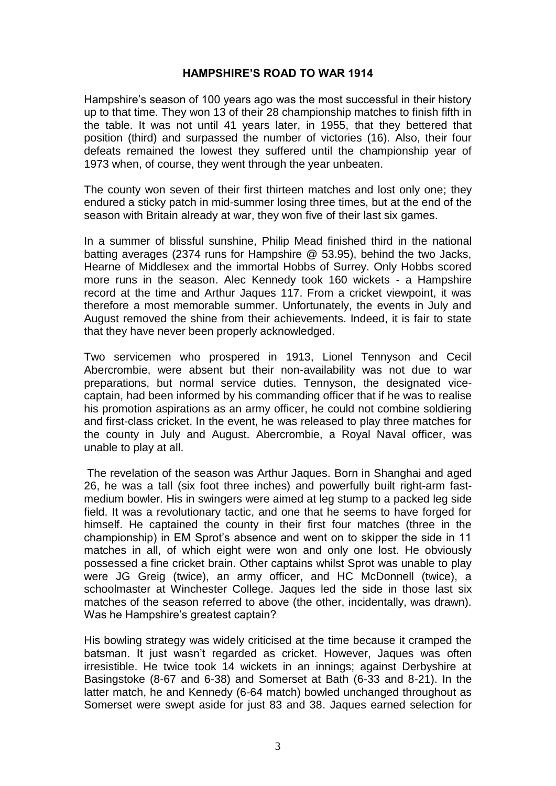## **HAMPSHIRE'S ROAD TO WAR 1914**

Hampshire's season of 100 years ago was the most successful in their history up to that time. They won 13 of their 28 championship matches to finish fifth in the table. It was not until 41 years later, in 1955, that they bettered that position (third) and surpassed the number of victories (16). Also, their four defeats remained the lowest they suffered until the championship year of 1973 when, of course, they went through the year unbeaten.

The county won seven of their first thirteen matches and lost only one; they endured a sticky patch in mid-summer losing three times, but at the end of the season with Britain already at war, they won five of their last six games.

In a summer of blissful sunshine, Philip Mead finished third in the national batting averages (2374 runs for Hampshire @ 53.95), behind the two Jacks, Hearne of Middlesex and the immortal Hobbs of Surrey. Only Hobbs scored more runs in the season. Alec Kennedy took 160 wickets - a Hampshire record at the time and Arthur Jaques 117. From a cricket viewpoint, it was therefore a most memorable summer. Unfortunately, the events in July and August removed the shine from their achievements. Indeed, it is fair to state that they have never been properly acknowledged.

Two servicemen who prospered in 1913, Lionel Tennyson and Cecil Abercrombie, were absent but their non-availability was not due to war preparations, but normal service duties. Tennyson, the designated vicecaptain, had been informed by his commanding officer that if he was to realise his promotion aspirations as an army officer, he could not combine soldiering and first-class cricket. In the event, he was released to play three matches for the county in July and August. Abercrombie, a Royal Naval officer, was unable to play at all.

The revelation of the season was Arthur Jaques. Born in Shanghai and aged 26, he was a tall (six foot three inches) and powerfully built right-arm fastmedium bowler. His in swingers were aimed at leg stump to a packed leg side field. It was a revolutionary tactic, and one that he seems to have forged for himself. He captained the county in their first four matches (three in the championship) in EM Sprot's absence and went on to skipper the side in 11 matches in all, of which eight were won and only one lost. He obviously possessed a fine cricket brain. Other captains whilst Sprot was unable to play were JG Greig (twice), an army officer, and HC McDonnell (twice), a schoolmaster at Winchester College. Jaques led the side in those last six matches of the season referred to above (the other, incidentally, was drawn). Was he Hampshire's greatest captain?

His bowling strategy was widely criticised at the time because it cramped the batsman. It just wasn't regarded as cricket. However, Jaques was often irresistible. He twice took 14 wickets in an innings; against Derbyshire at Basingstoke (8-67 and 6-38) and Somerset at Bath (6-33 and 8-21). In the latter match, he and Kennedy (6-64 match) bowled unchanged throughout as Somerset were swept aside for just 83 and 38. Jaques earned selection for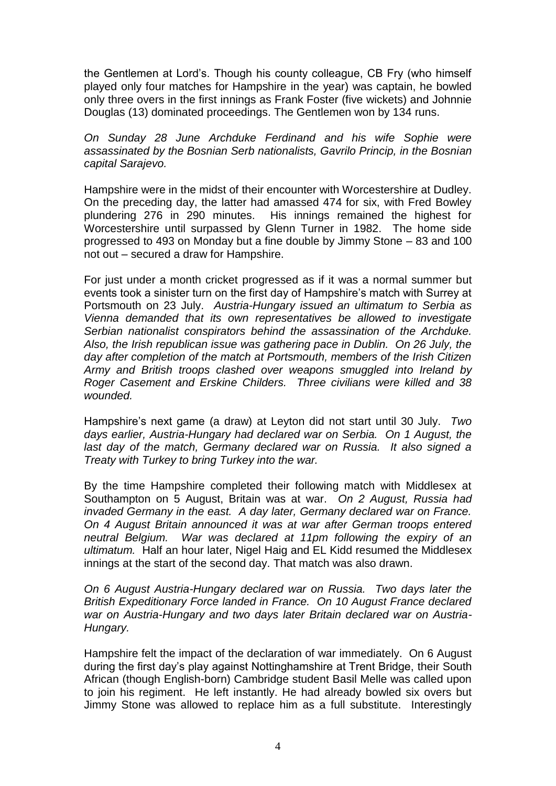the Gentlemen at Lord's. Though his county colleague, CB Fry (who himself played only four matches for Hampshire in the year) was captain, he bowled only three overs in the first innings as Frank Foster (five wickets) and Johnnie Douglas (13) dominated proceedings. The Gentlemen won by 134 runs.

*On Sunday 28 June Archduke Ferdinand and his wife Sophie were assassinated by the Bosnian Serb nationalists, Gavrilo Princip, in the Bosnian capital Sarajevo.*

Hampshire were in the midst of their encounter with Worcestershire at Dudley. On the preceding day, the latter had amassed 474 for six, with Fred Bowley plundering 276 in 290 minutes. His innings remained the highest for Worcestershire until surpassed by Glenn Turner in 1982. The home side progressed to 493 on Monday but a fine double by Jimmy Stone – 83 and 100 not out – secured a draw for Hampshire.

For just under a month cricket progressed as if it was a normal summer but events took a sinister turn on the first day of Hampshire's match with Surrey at Portsmouth on 23 July. *Austria-Hungary issued an ultimatum to Serbia as Vienna demanded that its own representatives be allowed to investigate Serbian nationalist conspirators behind the assassination of the Archduke. Also, the Irish republican issue was gathering pace in Dublin. On 26 July, the day after completion of the match at Portsmouth, members of the Irish Citizen Army and British troops clashed over weapons smuggled into Ireland by Roger Casement and Erskine Childers. Three civilians were killed and 38 wounded.*

Hampshire's next game (a draw) at Leyton did not start until 30 July. *Two days earlier, Austria-Hungary had declared war on Serbia. On 1 August, the last day of the match, Germany declared war on Russia. It also signed a Treaty with Turkey to bring Turkey into the war.*

By the time Hampshire completed their following match with Middlesex at Southampton on 5 August, Britain was at war. *On 2 August, Russia had invaded Germany in the east. A day later, Germany declared war on France. On 4 August Britain announced it was at war after German troops entered neutral Belgium. War was declared at 11pm following the expiry of an ultimatum.* Half an hour later, Nigel Haig and EL Kidd resumed the Middlesex innings at the start of the second day. That match was also drawn.

*On 6 August Austria-Hungary declared war on Russia. Two days later the British Expeditionary Force landed in France. On 10 August France declared war on Austria-Hungary and two days later Britain declared war on Austria-Hungary.*

Hampshire felt the impact of the declaration of war immediately. On 6 August during the first day's play against Nottinghamshire at Trent Bridge, their South African (though English-born) Cambridge student Basil Melle was called upon to join his regiment. He left instantly. He had already bowled six overs but Jimmy Stone was allowed to replace him as a full substitute. Interestingly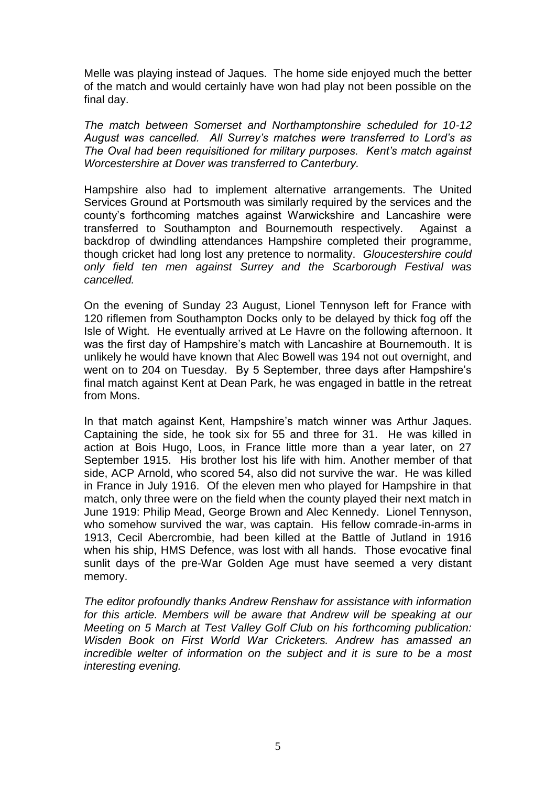Melle was playing instead of Jaques. The home side enjoyed much the better of the match and would certainly have won had play not been possible on the final day.

*The match between Somerset and Northamptonshire scheduled for 10-12 August was cancelled. All Surrey's matches were transferred to Lord's as The Oval had been requisitioned for military purposes. Kent's match against Worcestershire at Dover was transferred to Canterbury.*

Hampshire also had to implement alternative arrangements. The United Services Ground at Portsmouth was similarly required by the services and the county's forthcoming matches against Warwickshire and Lancashire were transferred to Southampton and Bournemouth respectively. Against a backdrop of dwindling attendances Hampshire completed their programme, though cricket had long lost any pretence to normality. *Gloucestershire could only field ten men against Surrey and the Scarborough Festival was cancelled.* 

On the evening of Sunday 23 August, Lionel Tennyson left for France with 120 riflemen from Southampton Docks only to be delayed by thick fog off the Isle of Wight. He eventually arrived at Le Havre on the following afternoon. It was the first day of Hampshire's match with Lancashire at Bournemouth. It is unlikely he would have known that Alec Bowell was 194 not out overnight, and went on to 204 on Tuesday. By 5 September, three days after Hampshire's final match against Kent at Dean Park, he was engaged in battle in the retreat from Mons.

In that match against Kent, Hampshire's match winner was Arthur Jaques. Captaining the side, he took six for 55 and three for 31. He was killed in action at Bois Hugo, Loos, in France little more than a year later, on 27 September 1915. His brother lost his life with him. Another member of that side, ACP Arnold, who scored 54, also did not survive the war. He was killed in France in July 1916. Of the eleven men who played for Hampshire in that match, only three were on the field when the county played their next match in June 1919: Philip Mead, George Brown and Alec Kennedy. Lionel Tennyson, who somehow survived the war, was captain. His fellow comrade-in-arms in 1913, Cecil Abercrombie, had been killed at the Battle of Jutland in 1916 when his ship, HMS Defence, was lost with all hands. Those evocative final sunlit days of the pre-War Golden Age must have seemed a very distant memory.

*The editor profoundly thanks Andrew Renshaw for assistance with information for this article. Members will be aware that Andrew will be speaking at our Meeting on 5 March at Test Valley Golf Club on his forthcoming publication: Wisden Book on First World War Cricketers. Andrew has amassed an incredible welter of information on the subject and it is sure to be a most interesting evening.*